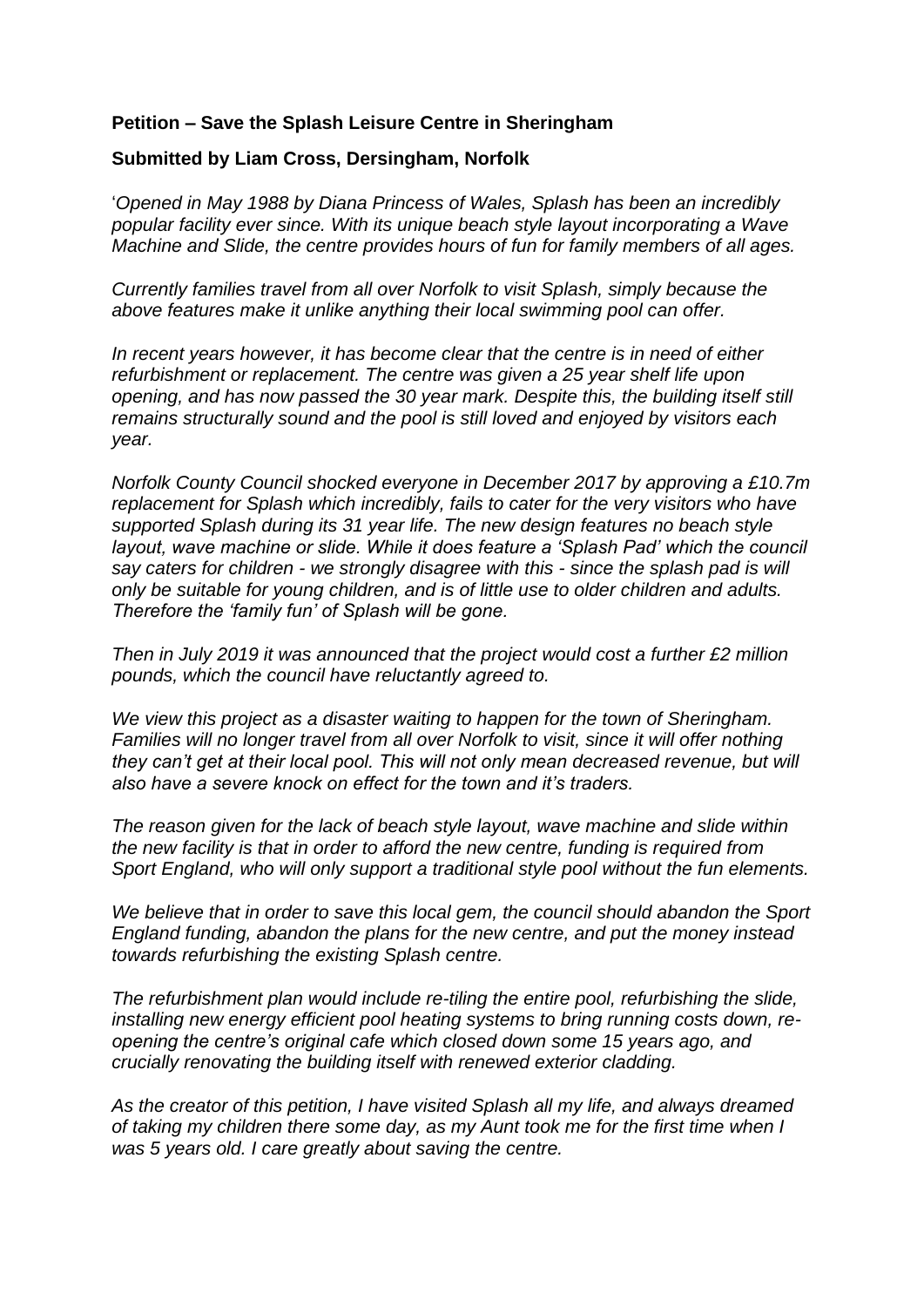## **Petition – Save the Splash Leisure Centre in Sheringham**

## **Submitted by Liam Cross, Dersingham, Norfolk**

'*Opened in May 1988 by Diana Princess of Wales, Splash has been an incredibly popular facility ever since. With its unique beach style layout incorporating a Wave Machine and Slide, the centre provides hours of fun for family members of all ages.*

*Currently families travel from all over Norfolk to visit Splash, simply because the above features make it unlike anything their local swimming pool can offer.*

*In recent years however, it has become clear that the centre is in need of either refurbishment or replacement. The centre was given a 25 year shelf life upon opening, and has now passed the 30 year mark. Despite this, the building itself still remains structurally sound and the pool is still loved and enjoyed by visitors each year.*

*Norfolk County Council shocked everyone in December 2017 by approving a £10.7m replacement for Splash which incredibly, fails to cater for the very visitors who have supported Splash during its 31 year life. The new design features no beach style layout, wave machine or slide. While it does feature a 'Splash Pad' which the council say caters for children - we strongly disagree with this - since the splash pad is will only be suitable for young children, and is of little use to older children and adults. Therefore the 'family fun' of Splash will be gone.*

*Then in July 2019 it was announced that the project would cost a further £2 million pounds, which the council have reluctantly agreed to.*

*We view this project as a disaster waiting to happen for the town of Sheringham. Families will no longer travel from all over Norfolk to visit, since it will offer nothing they can't get at their local pool. This will not only mean decreased revenue, but will also have a severe knock on effect for the town and it's traders.*

*The reason given for the lack of beach style layout, wave machine and slide within the new facility is that in order to afford the new centre, funding is required from Sport England, who will only support a traditional style pool without the fun elements.*

*We believe that in order to save this local gem, the council should abandon the Sport England funding, abandon the plans for the new centre, and put the money instead towards refurbishing the existing Splash centre.*

*The refurbishment plan would include re-tiling the entire pool, refurbishing the slide, installing new energy efficient pool heating systems to bring running costs down, reopening the centre's original cafe which closed down some 15 years ago, and crucially renovating the building itself with renewed exterior cladding.*

*As the creator of this petition, I have visited Splash all my life, and always dreamed of taking my children there some day, as my Aunt took me for the first time when I was 5 years old. I care greatly about saving the centre.*